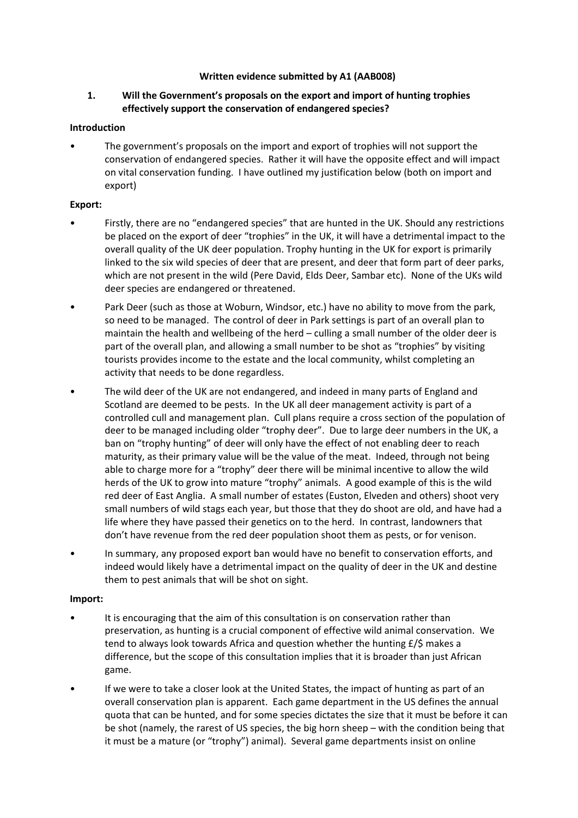## **Written evidence submitted by A1 (AAB008)**

# **1. Will the Government's proposals on the export and import of hunting trophies effectively support the conservation of endangered species?**

## **Introduction**

• The government's proposals on the import and export of trophies will not support the conservation of endangered species. Rather it will have the opposite effect and will impact on vital conservation funding. I have outlined my justification below (both on import and export)

## **Export:**

- Firstly, there are no "endangered species" that are hunted in the UK. Should any restrictions be placed on the export of deer "trophies" in the UK, it will have a detrimental impact to the overall quality of the UK deer population. Trophy hunting in the UK for export is primarily linked to the six wild species of deer that are present, and deer that form part of deer parks, which are not present in the wild (Pere David, Elds Deer, Sambar etc). None of the UKs wild deer species are endangered or threatened.
- Park Deer (such as those at Woburn, Windsor, etc.) have no ability to move from the park, so need to be managed. The control of deer in Park settings is part of an overall plan to maintain the health and wellbeing of the herd – culling a small number of the older deer is part of the overall plan, and allowing a small number to be shot as "trophies" by visiting tourists provides income to the estate and the local community, whilst completing an activity that needs to be done regardless.
- The wild deer of the UK are not endangered, and indeed in many parts of England and Scotland are deemed to be pests. In the UK all deer management activity is part of a controlled cull and management plan. Cull plans require a cross section of the population of deer to be managed including older "trophy deer". Due to large deer numbers in the UK, a ban on "trophy hunting" of deer will only have the effect of not enabling deer to reach maturity, as their primary value will be the value of the meat. Indeed, through not being able to charge more for a "trophy" deer there will be minimal incentive to allow the wild herds of the UK to grow into mature "trophy" animals. A good example of this is the wild red deer of East Anglia. A small number of estates (Euston, Elveden and others) shoot very small numbers of wild stags each year, but those that they do shoot are old, and have had a life where they have passed their genetics on to the herd. In contrast, landowners that don't have revenue from the red deer population shoot them as pests, or for venison.
- In summary, any proposed export ban would have no benefit to conservation efforts, and indeed would likely have a detrimental impact on the quality of deer in the UK and destine them to pest animals that will be shot on sight.

## **Import:**

- It is encouraging that the aim of this consultation is on conservation rather than preservation, as hunting is a crucial component of effective wild animal conservation. We tend to always look towards Africa and question whether the hunting  $E/\$$  makes a difference, but the scope of this consultation implies that it is broader than just African game.
- If we were to take a closer look at the United States, the impact of hunting as part of an overall conservation plan is apparent. Each game department in the US defines the annual quota that can be hunted, and for some species dictates the size that it must be before it can be shot (namely, the rarest of US species, the big horn sheep – with the condition being that it must be a mature (or "trophy") animal). Several game departments insist on online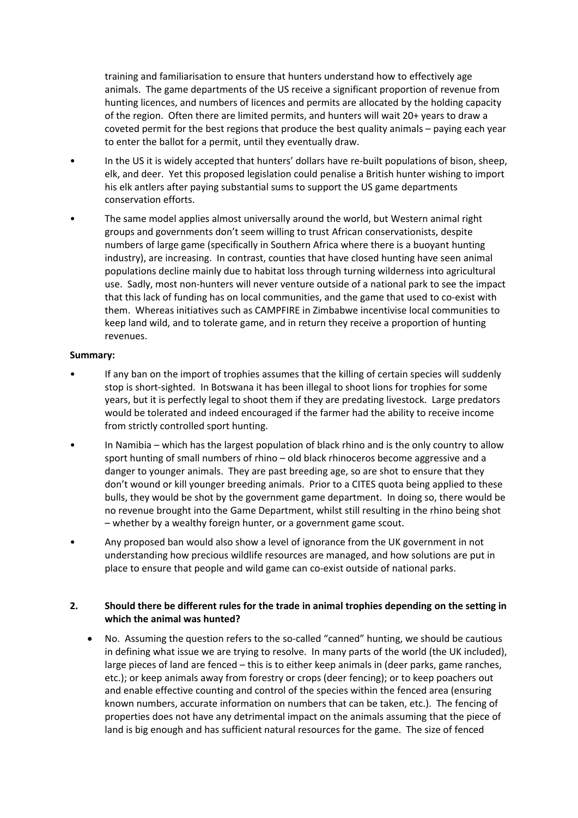training and familiarisation to ensure that hunters understand how to effectively age animals. The game departments of the US receive a significant proportion of revenue from hunting licences, and numbers of licences and permits are allocated by the holding capacity of the region. Often there are limited permits, and hunters will wait 20+ years to draw a coveted permit for the best regions that produce the best quality animals – paying each year to enter the ballot for a permit, until they eventually draw.

- In the US it is widely accepted that hunters' dollars have re-built populations of bison, sheep, elk, and deer. Yet this proposed legislation could penalise a British hunter wishing to import his elk antlers after paying substantial sums to support the US game departments conservation efforts.
- The same model applies almost universally around the world, but Western animal right groups and governments don't seem willing to trust African conservationists, despite numbers of large game (specifically in Southern Africa where there is a buoyant hunting industry), are increasing. In contrast, counties that have closed hunting have seen animal populations decline mainly due to habitat loss through turning wilderness into agricultural use. Sadly, most non-hunters will never venture outside of a national park to see the impact that this lack of funding has on local communities, and the game that used to co-exist with them. Whereas initiatives such as CAMPFIRE in Zimbabwe incentivise local communities to keep land wild, and to tolerate game, and in return they receive a proportion of hunting revenues.

#### **Summary:**

- If any ban on the import of trophies assumes that the killing of certain species will suddenly stop is short-sighted. In Botswana it has been illegal to shoot lions for trophies for some years, but it is perfectly legal to shoot them if they are predating livestock. Large predators would be tolerated and indeed encouraged if the farmer had the ability to receive income from strictly controlled sport hunting.
- In Namibia which has the largest population of black rhino and is the only country to allow sport hunting of small numbers of rhino – old black rhinoceros become aggressive and a danger to younger animals. They are past breeding age, so are shot to ensure that they don't wound or kill younger breeding animals. Prior to a CITES quota being applied to these bulls, they would be shot by the government game department. In doing so, there would be no revenue brought into the Game Department, whilst still resulting in the rhino being shot – whether by a wealthy foreign hunter, or a government game scout.
- Any proposed ban would also show a level of ignorance from the UK government in not understanding how precious wildlife resources are managed, and how solutions are put in place to ensure that people and wild game can co-exist outside of national parks.

## **2. Should there be different rules for the trade in animal trophies depending on the setting in which the animal was hunted?**

 No. Assuming the question refers to the so-called "canned" hunting, we should be cautious in defining what issue we are trying to resolve. In many parts of the world (the UK included), large pieces of land are fenced – this is to either keep animals in (deer parks, game ranches, etc.); or keep animals away from forestry or crops (deer fencing); or to keep poachers out and enable effective counting and control of the species within the fenced area (ensuring known numbers, accurate information on numbers that can be taken, etc.). The fencing of properties does not have any detrimental impact on the animals assuming that the piece of land is big enough and has sufficient natural resources for the game. The size of fenced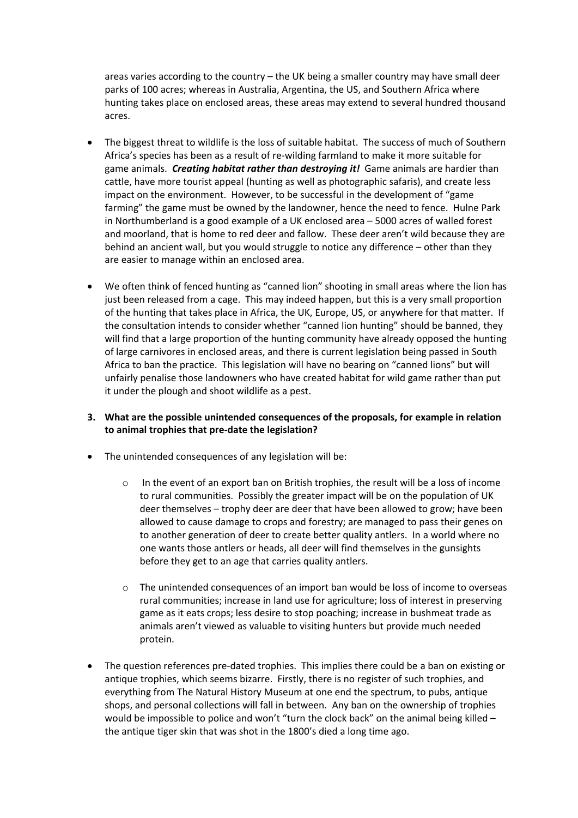areas varies according to the country – the UK being a smaller country may have small deer parks of 100 acres; whereas in Australia, Argentina, the US, and Southern Africa where hunting takes place on enclosed areas, these areas may extend to several hundred thousand acres.

- The biggest threat to wildlife is the loss of suitable habitat. The success of much of Southern Africa's species has been as a result of re-wilding farmland to make it more suitable for game animals. *Creating habitat rather than destroying it!* Game animals are hardier than cattle, have more tourist appeal (hunting as well as photographic safaris), and create less impact on the environment. However, to be successful in the development of "game farming" the game must be owned by the landowner, hence the need to fence. Hulne Park in Northumberland is a good example of a UK enclosed area – 5000 acres of walled forest and moorland, that is home to red deer and fallow. These deer aren't wild because they are behind an ancient wall, but you would struggle to notice any difference – other than they are easier to manage within an enclosed area.
- We often think of fenced hunting as "canned lion" shooting in small areas where the lion has just been released from a cage. This may indeed happen, but this is a very small proportion of the hunting that takes place in Africa, the UK, Europe, US, or anywhere for that matter. If the consultation intends to consider whether "canned lion hunting" should be banned, they will find that a large proportion of the hunting community have already opposed the hunting of large carnivores in enclosed areas, and there is current legislation being passed in South Africa to ban the practice. This legislation will have no bearing on "canned lions" but will unfairly penalise those landowners who have created habitat for wild game rather than put it under the plough and shoot wildlife as a pest.

# **3. What are the possible unintended consequences of the proposals, for example in relation to animal trophies that pre-date the legislation?**

- The unintended consequences of any legislation will be:
	- o In the event of an export ban on British trophies, the result will be a loss of income to rural communities. Possibly the greater impact will be on the population of UK deer themselves – trophy deer are deer that have been allowed to grow; have been allowed to cause damage to crops and forestry; are managed to pass their genes on to another generation of deer to create better quality antlers. In a world where no one wants those antlers or heads, all deer will find themselves in the gunsights before they get to an age that carries quality antlers.
	- o The unintended consequences of an import ban would be loss of income to overseas rural communities; increase in land use for agriculture; loss of interest in preserving game as it eats crops; less desire to stop poaching; increase in bushmeat trade as animals aren't viewed as valuable to visiting hunters but provide much needed protein.
- The question references pre-dated trophies. This implies there could be a ban on existing or antique trophies, which seems bizarre. Firstly, there is no register of such trophies, and everything from The Natural History Museum at one end the spectrum, to pubs, antique shops, and personal collections will fall in between. Any ban on the ownership of trophies would be impossible to police and won't "turn the clock back" on the animal being killed – the antique tiger skin that was shot in the 1800's died a long time ago.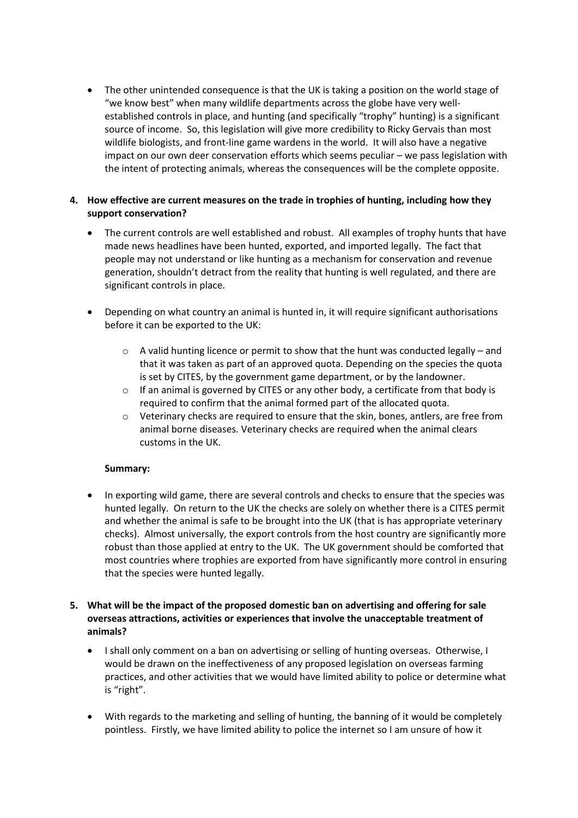The other unintended consequence is that the UK is taking a position on the world stage of "we know best" when many wildlife departments across the globe have very wellestablished controls in place, and hunting (and specifically "trophy" hunting) is a significant source of income. So, this legislation will give more credibility to Ricky Gervais than most wildlife biologists, and front-line game wardens in the world. It will also have a negative impact on our own deer conservation efforts which seems peculiar – we pass legislation with the intent of protecting animals, whereas the consequences will be the complete opposite.

# **4. How effective are current measures on the trade in trophies of hunting, including how they support conservation?**

- The current controls are well established and robust. All examples of trophy hunts that have made news headlines have been hunted, exported, and imported legally. The fact that people may not understand or like hunting as a mechanism for conservation and revenue generation, shouldn't detract from the reality that hunting is well regulated, and there are significant controls in place.
- Depending on what country an animal is hunted in, it will require significant authorisations before it can be exported to the UK:
	- $\circ$  A valid hunting licence or permit to show that the hunt was conducted legally and that it was taken as part of an approved quota. Depending on the species the quota is set by CITES, by the government game department, or by the landowner.
	- $\circ$  If an animal is governed by CITES or any other body, a certificate from that body is required to confirm that the animal formed part of the allocated quota.
	- $\circ$  Veterinary checks are required to ensure that the skin, bones, antlers, are free from animal borne diseases. Veterinary checks are required when the animal clears customs in the UK.

## **Summary:**

 In exporting wild game, there are several controls and checks to ensure that the species was hunted legally. On return to the UK the checks are solely on whether there is a CITES permit and whether the animal is safe to be brought into the UK (that is has appropriate veterinary checks). Almost universally, the export controls from the host country are significantly more robust than those applied at entry to the UK. The UK government should be comforted that most countries where trophies are exported from have significantly more control in ensuring that the species were hunted legally.

# **5. What will be the impact of the proposed domestic ban on advertising and offering for sale overseas attractions, activities or experiences that involve the unacceptable treatment of animals?**

- I shall only comment on a ban on advertising or selling of hunting overseas. Otherwise, I would be drawn on the ineffectiveness of any proposed legislation on overseas farming practices, and other activities that we would have limited ability to police or determine what is "right".
- With regards to the marketing and selling of hunting, the banning of it would be completely pointless. Firstly, we have limited ability to police the internet so I am unsure of how it